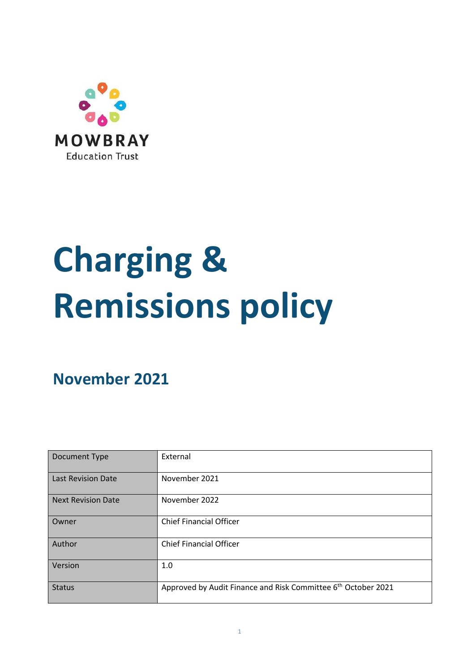

# **Charging & Remissions policy**

**November 2021**

| Document Type             | External                                                                  |  |  |
|---------------------------|---------------------------------------------------------------------------|--|--|
| <b>Last Revision Date</b> | November 2021                                                             |  |  |
| <b>Next Revision Date</b> | November 2022                                                             |  |  |
| Owner                     | <b>Chief Financial Officer</b>                                            |  |  |
| Author                    | <b>Chief Financial Officer</b>                                            |  |  |
| Version                   | 1.0                                                                       |  |  |
| <b>Status</b>             | Approved by Audit Finance and Risk Committee 6 <sup>th</sup> October 2021 |  |  |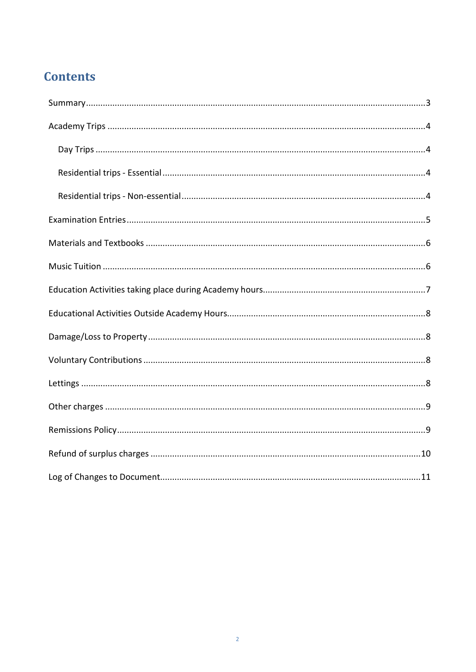## **Contents**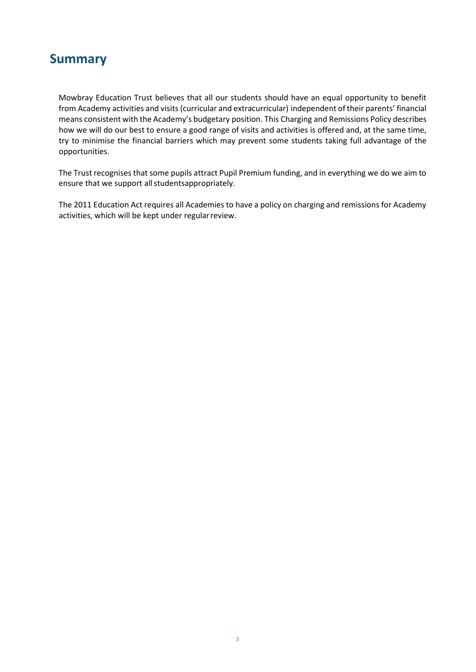#### **Summary**

<span id="page-2-0"></span>Mowbray Education Trust believes that all our students should have an equal opportunity to benefit from Academy activities and visits(curricular and extracurricular) independent of their parents' financial means consistent with the Academy's budgetary position. This Charging and Remissions Policy describes how we will do our best to ensure a good range of visits and activities is offered and, at the same time, try to minimise the financial barriers which may prevent some students taking full advantage of the opportunities.

The Trust recognises that some pupils attract Pupil Premium funding, and in everything we do we aim to ensure that we support all studentsappropriately.

The 2011 Education Act requires all Academies to have a policy on charging and remissions for Academy activities, which will be kept under regular review.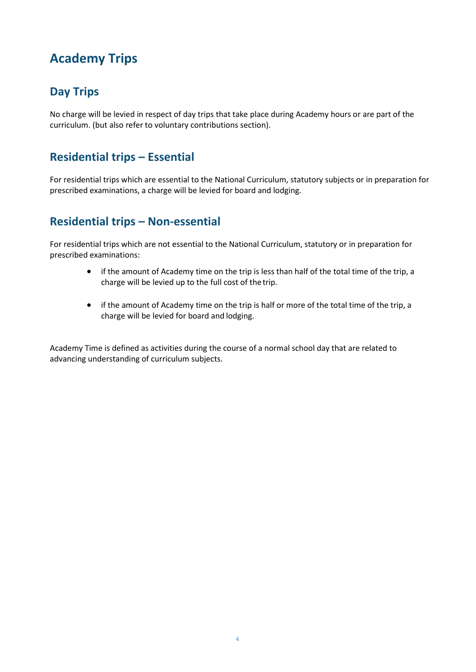# **Academy Trips**

#### <span id="page-3-0"></span>**Day Trips**

No charge will be levied in respect of day trips that take place during Academy hours or are part of the curriculum. (but also refer to voluntary contributions section).

#### <span id="page-3-1"></span>**Residential trips – Essential**

For residential trips which are essential to the National Curriculum, statutory subjects or in preparation for prescribed examinations, a charge will be levied for board and lodging.

#### <span id="page-3-2"></span>**Residential trips – Non-essential**

For residential trips which are not essential to the National Curriculum, statutory or in preparation for prescribed examinations:

- if the amount of Academy time on the trip is less than half of the total time of the trip, a charge will be levied up to the full cost of the trip.
- if the amount of Academy time on the trip is half or more of the total time of the trip, a charge will be levied for board and lodging.

Academy Time is defined as activities during the course of a normal school day that are related to advancing understanding of curriculum subjects.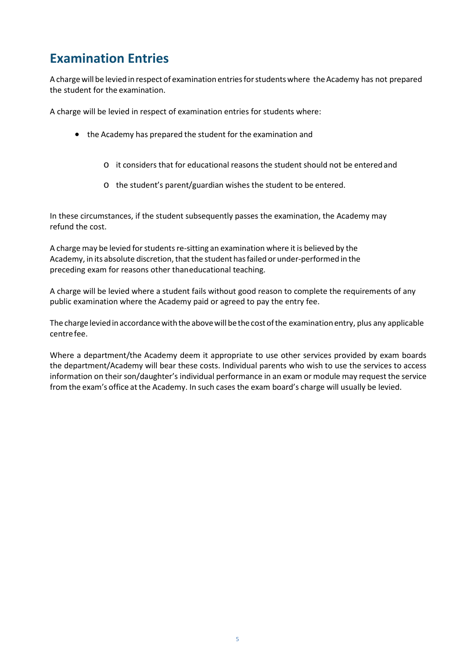# **Examination Entries**

<span id="page-4-0"></span>Achargewill be levied in respect of examination entriesforstudentswhere theAcademy has not prepared the student for the examination.

A charge will be levied in respect of examination entries for students where:

- the Academy has prepared the student for the examination and
	- o it considers that for educational reasons the student should not be enteredand
	- o the student's parent/guardian wishes the student to be entered.

In these circumstances, if the student subsequently passes the examination, the Academy may refund the cost.

A charge may be levied for students re-sitting an examination where it is believed by the Academy, in its absolute discretion, that the student has failed or under-performed in the preceding exam for reasons other thaneducational teaching.

A charge will be levied where a student fails without good reason to complete the requirements of any public examination where the Academy paid or agreed to pay the entry fee.

The charge levied in accordance with the above will be the cost of the examination entry, plus any applicable centrefee.

Where a department/the Academy deem it appropriate to use other services provided by exam boards the department/Academy will bear these costs. Individual parents who wish to use the services to access information on their son/daughter's individual performance in an exam or module may request the service from the exam's office at the Academy. In such cases the exam board's charge will usually be levied.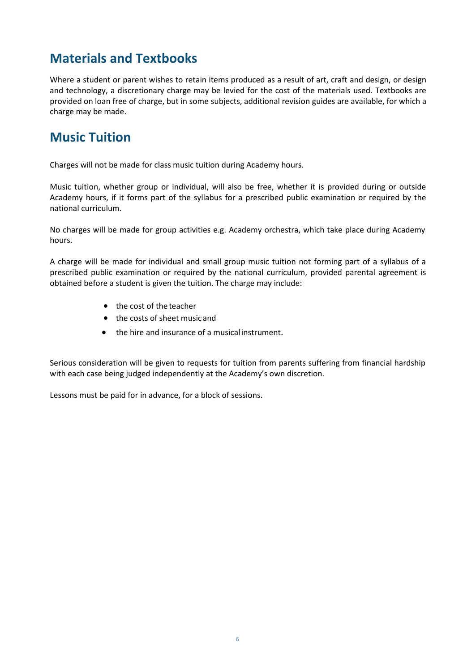## **Materials and Textbooks**

<span id="page-5-0"></span>Where a student or parent wishes to retain items produced as a result of art, craft and design, or design and technology, a discretionary charge may be levied for the cost of the materials used. Textbooks are provided on loan free of charge, but in some subjects, additional revision guides are available, for which a charge may be made.

## <span id="page-5-1"></span>**Music Tuition**

Charges will not be made for class music tuition during Academy hours.

Music tuition, whether group or individual, will also be free, whether it is provided during or outside Academy hours, if it forms part of the syllabus for a prescribed public examination or required by the national curriculum.

No charges will be made for group activities e.g. Academy orchestra, which take place during Academy hours.

A charge will be made for individual and small group music tuition not forming part of a syllabus of a prescribed public examination or required by the national curriculum, provided parental agreement is obtained before a student is given the tuition. The charge may include:

- the cost of the teacher
- the costs of sheet music and
- the hire and insurance of a musicalinstrument.

Serious consideration will be given to requests for tuition from parents suffering from financial hardship with each case being judged independently at the Academy's own discretion.

Lessons must be paid for in advance, for a block of sessions.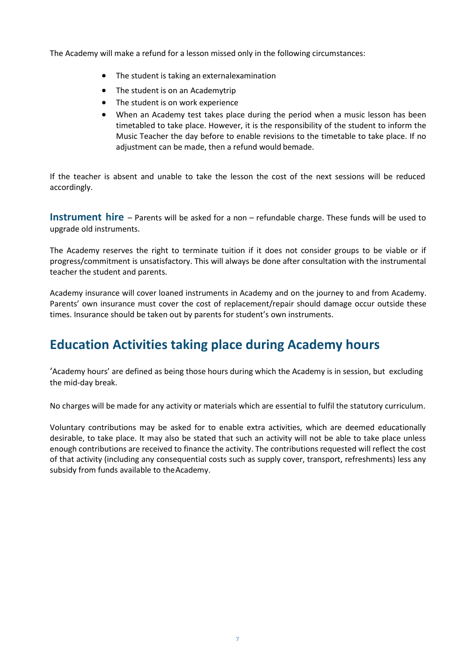The Academy will make a refund for a lesson missed only in the following circumstances:

- The student is taking an externalexamination
- The student is on an Academytrip
- The student is on work experience
- When an Academy test takes place during the period when a music lesson has been timetabled to take place. However, it is the responsibility of the student to inform the Music Teacher the day before to enable revisions to the timetable to take place. If no adjustment can be made, then a refund would bemade.

If the teacher is absent and unable to take the lesson the cost of the next sessions will be reduced accordingly.

**Instrument hire** – Parents will be asked for a non – refundable charge. These funds will be used to upgrade old instruments.

The Academy reserves the right to terminate tuition if it does not consider groups to be viable or if progress/commitment is unsatisfactory. This will always be done after consultation with the instrumental teacher the student and parents.

Academy insurance will cover loaned instruments in Academy and on the journey to and from Academy. Parents' own insurance must cover the cost of replacement/repair should damage occur outside these times. Insurance should be taken out by parents for student's own instruments.

## <span id="page-6-0"></span>**Education Activities taking place during Academy hours**

'Academy hours' are defined as being those hours during which the Academy is in session, but excluding the mid-day break.

No charges will be made for any activity or materials which are essential to fulfil the statutory curriculum.

Voluntary contributions may be asked for to enable extra activities, which are deemed educationally desirable, to take place. It may also be stated that such an activity will not be able to take place unless enough contributions are received to finance the activity. The contributions requested will reflect the cost of that activity (including any consequential costs such as supply cover, transport, refreshments) less any subsidy from funds available to theAcademy.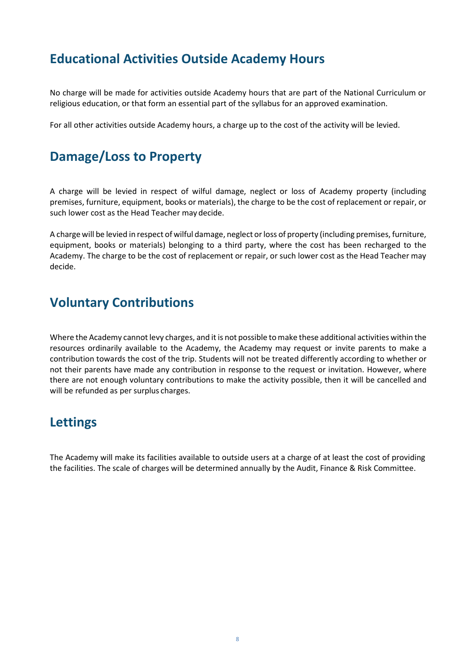#### **Educational Activities Outside Academy Hours**

<span id="page-7-0"></span>No charge will be made for activities outside Academy hours that are part of the National Curriculum or religious education, or that form an essential part of the syllabus for an approved examination.

For all other activities outside Academy hours, a charge up to the cost of the activity will be levied.

#### <span id="page-7-1"></span>**Damage/Loss to Property**

A charge will be levied in respect of wilful damage, neglect or loss of Academy property (including premises, furniture, equipment, books or materials), the charge to be the cost of replacement or repair, or such lower cost as the Head Teacher may decide.

A charge will be levied in respect of wilful damage, neglect orloss of property (including premises, furniture, equipment, books or materials) belonging to a third party, where the cost has been recharged to the Academy. The charge to be the cost of replacement or repair, or such lower cost as the Head Teacher may decide.

#### <span id="page-7-2"></span>**Voluntary Contributions**

Where the Academy cannot levy charges, and it is not possible to make these additional activities within the resources ordinarily available to the Academy, the Academy may request or invite parents to make a contribution towards the cost of the trip. Students will not be treated differently according to whether or not their parents have made any contribution in response to the request or invitation. However, where there are not enough voluntary contributions to make the activity possible, then it will be cancelled and will be refunded as per surplus charges.

#### <span id="page-7-3"></span>**Lettings**

The Academy will make its facilities available to outside users at a charge of at least the cost of providing the facilities. The scale of charges will be determined annually by the Audit, Finance & Risk Committee.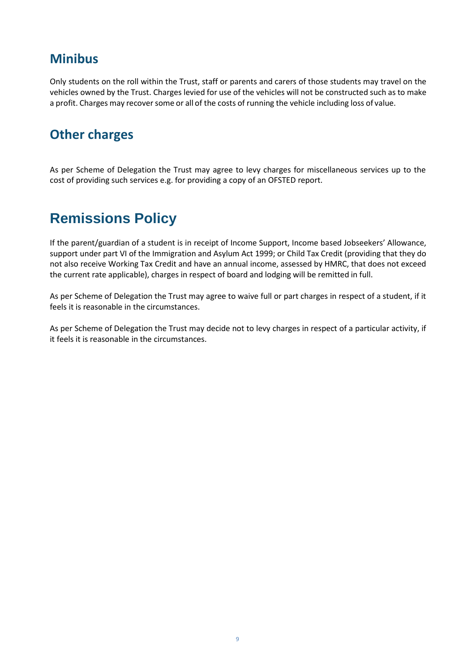### **Minibus**

Only students on the roll within the Trust, staff or parents and carers of those students may travel on the vehicles owned by the Trust. Charges levied for use of the vehicles will not be constructed such as to make a profit. Charges may recover some or all of the costs of running the vehicle including loss of value.

#### <span id="page-8-0"></span>**Other charges**

As per Scheme of Delegation the Trust may agree to levy charges for miscellaneous services up to the cost of providing such services e.g. for providing a copy of an OFSTED report.

# <span id="page-8-1"></span>**Remissions Policy**

If the parent/guardian of a student is in receipt of Income Support, Income based Jobseekers' Allowance, support under part VI of the Immigration and Asylum Act 1999; or Child Tax Credit (providing that they do not also receive Working Tax Credit and have an annual income, assessed by HMRC, that does not exceed the current rate applicable), charges in respect of board and lodging will be remitted in full.

As per Scheme of Delegation the Trust may agree to waive full or part charges in respect of a student, if it feels it is reasonable in the circumstances.

As per Scheme of Delegation the Trust may decide not to levy charges in respect of a particular activity, if it feels it is reasonable in the circumstances.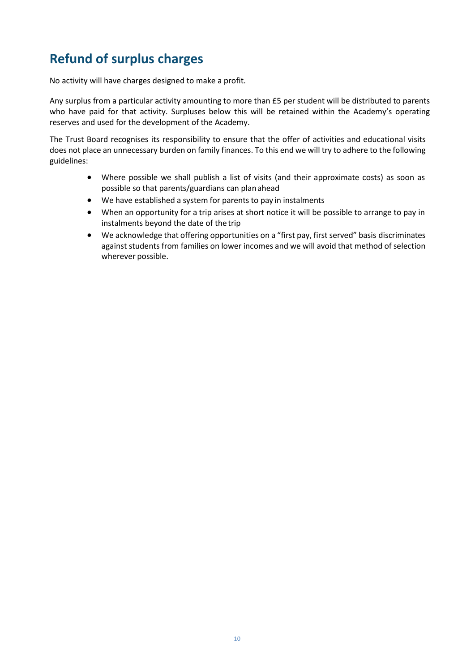# **Refund of surplus charges**

<span id="page-9-0"></span>No activity will have charges designed to make a profit.

Any surplus from a particular activity amounting to more than £5 per student will be distributed to parents who have paid for that activity. Surpluses below this will be retained within the Academy's operating reserves and used for the development of the Academy.

The Trust Board recognises its responsibility to ensure that the offer of activities and educational visits does not place an unnecessary burden on family finances. To this end we will try to adhere to the following guidelines:

- Where possible we shall publish a list of visits (and their approximate costs) as soon as possible so that parents/guardians can planahead
- We have established a system for parents to pay in instalments
- When an opportunity for a trip arises at short notice it will be possible to arrange to pay in instalments beyond the date of the trip
- We acknowledge that offering opportunities on a "first pay, first served" basis discriminates against students from families on lower incomes and we will avoid that method ofselection wherever possible.